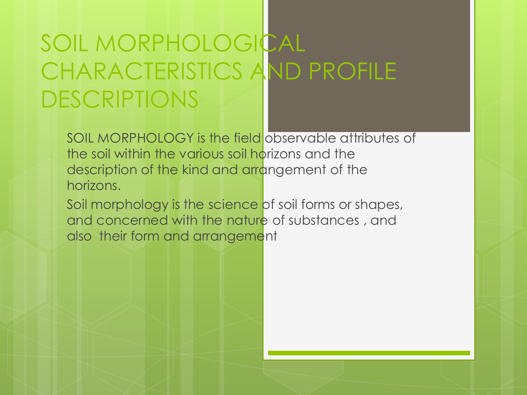## SOIL MORPHOLOGICAL CHARACTERISTICS AND PROFILE DESCRIPTIONS

SOIL MORPHOLOGY is the field observable attributes of the soil within the various soil horizons and the description of the kind and arrangement of the horizons.

Soil morphology is the science of soil forms or shapes, and concerned with the nature of substances , and also their form and arrangement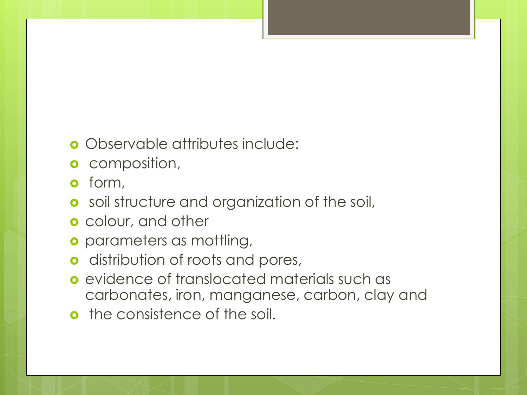#### Observable attributes include:

- **o** composition,
- **o** form,
- **o** soil structure and organization of the soil,
- **o** colour, and other
- **o** parameters as mottling,
- **o** distribution of roots and pores,
- **e** evidence of translocated materials such as carbonates, iron, manganese, carbon, clay and
- **o** the consistence of the soil.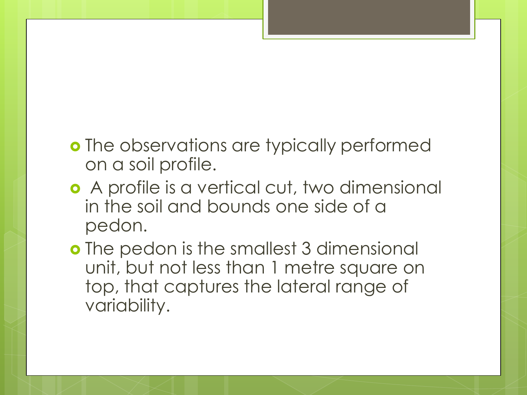- **o** The observations are typically performed on a soil profile.
- A profile is a vertical cut, two dimensional in the soil and bounds one side of a pedon.
- **o** The pedon is the smallest 3 dimensional unit, but not less than 1 metre square on top, that captures the lateral range of variability.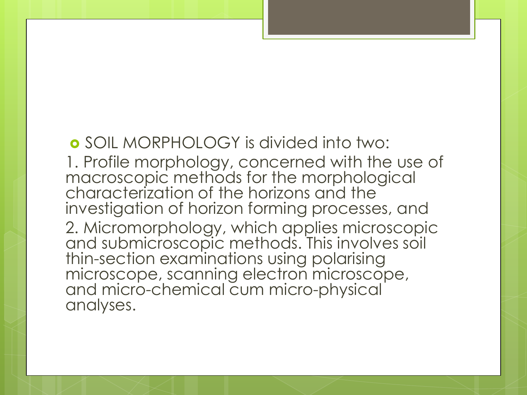SOIL MORPHOLOGY is divided into two:

1. Profile morphology, concerned with the use of macroscopic methods for the morphological characterization of the horizons and the investigation of horizon forming processes, and 2. Micromorphology, which applies microscopic and submicroscopic methods. This involves soil thin-section examinations using polarising microscope, scanning electron microscope, and micro-chemical cum micro-physical analyses.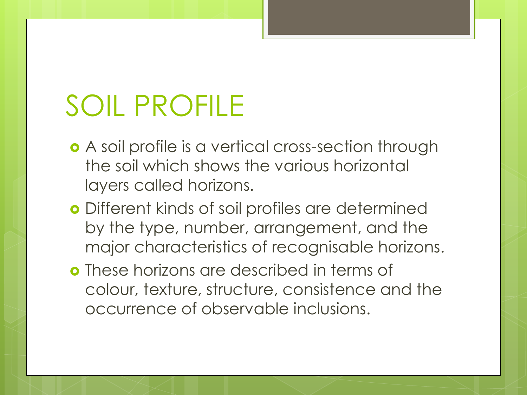# SOIL PROFILE

- A soil profile is a vertical cross-section through the soil which shows the various horizontal layers called horizons.
- Different kinds of soil profiles are determined by the type, number, arrangement, and the major characteristics of recognisable horizons.
- **o** These horizons are described in terms of colour, texture, structure, consistence and the occurrence of observable inclusions.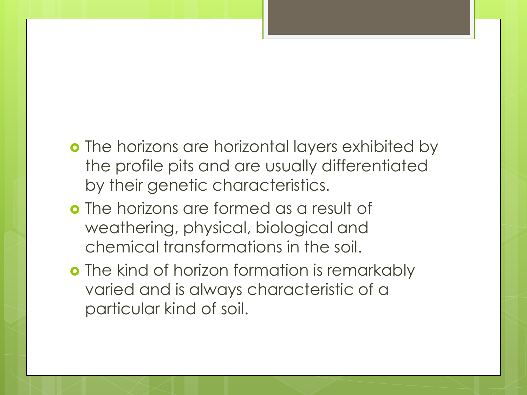- **o** The horizons are horizontal layers exhibited by the profile pits and are usually differentiated by their genetic characteristics.
- The horizons are formed as a result of weathering, physical, biological and chemical transformations in the soil.
- **o** The kind of horizon formation is remarkably varied and is always characteristic of a particular kind of soil.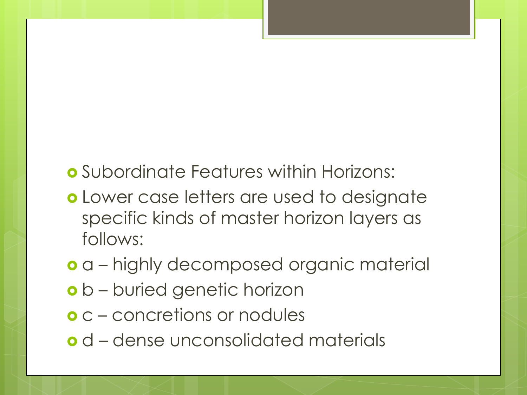### Subordinate Features within Horizons:

- Lower case letters are used to designate specific kinds of master horizon layers as follows:
- a highly decomposed organic material
- o b buried genetic horizon
- c concretions or nodules
- d dense unconsolidated materials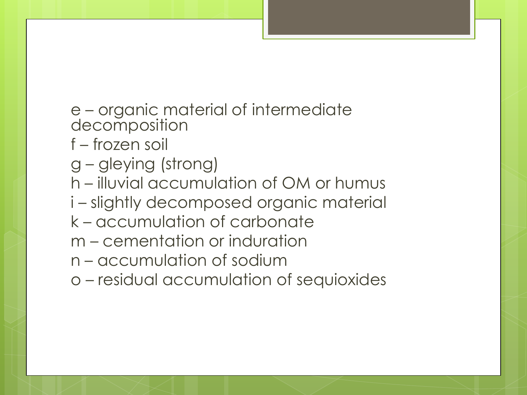e – organic material of intermediate decomposition

- f frozen soil
- g gleying (strong)
- h illuvial accumulation of OM or humus
- i slightly decomposed organic material
- k accumulation of carbonate
- m cementation or induration
- n accumulation of sodium
- o residual accumulation of sequioxides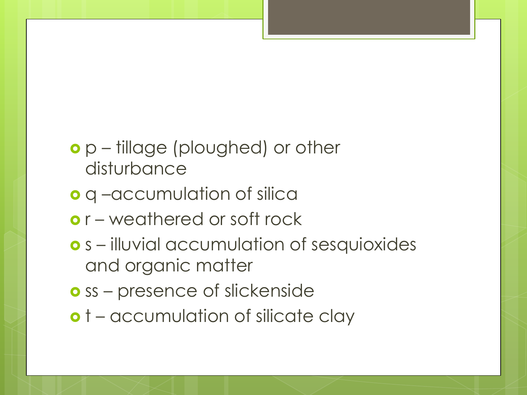### p – tillage (ploughed) or other disturbance

- o q –accumulation of silica
- o r weathered or soft rock
- s illuvial accumulation of sesquioxides and organic matter
- **o** ss presence of slickenside
- o t accumulation of silicate clay